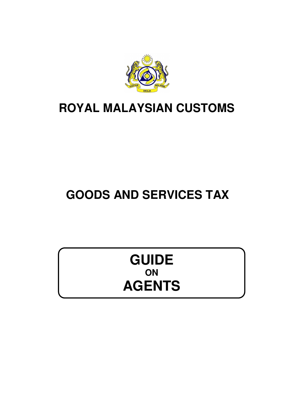

## **ROYAL MALAYSIAN CUSTOMS**

# **GOODS AND SERVICES TAX**

## **GUIDE ON AGENTS**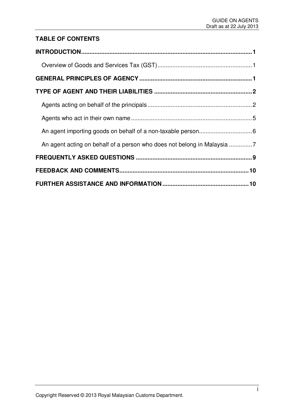## **TABLE OF CONTENTS**

| An agent acting on behalf of a person who does not belong in Malaysia 7 |  |
|-------------------------------------------------------------------------|--|
|                                                                         |  |
|                                                                         |  |
|                                                                         |  |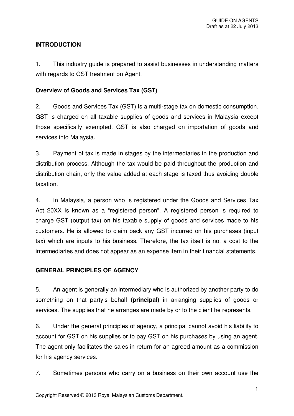## **INTRODUCTION**

1. This industry guide is prepared to assist businesses in understanding matters with regards to GST treatment on Agent.

## **Overview of Goods and Services Tax (GST)**

2. Goods and Services Tax (GST) is a multi-stage tax on domestic consumption. GST is charged on all taxable supplies of goods and services in Malaysia except those specifically exempted. GST is also charged on importation of goods and services into Malaysia.

3. Payment of tax is made in stages by the intermediaries in the production and distribution process. Although the tax would be paid throughout the production and distribution chain, only the value added at each stage is taxed thus avoiding double taxation.

4. In Malaysia, a person who is registered under the Goods and Services Tax Act 20XX is known as a "registered person". A registered person is required to charge GST (output tax) on his taxable supply of goods and services made to his customers. He is allowed to claim back any GST incurred on his purchases (input tax) which are inputs to his business. Therefore, the tax itself is not a cost to the intermediaries and does not appear as an expense item in their financial statements.

## **GENERAL PRINCIPLES OF AGENCY**

5. An agent is generally an intermediary who is authorized by another party to do something on that party's behalf **(principal)** in arranging supplies of goods or services. The supplies that he arranges are made by or to the client he represents.

6. Under the general principles of agency, a principal cannot avoid his liability to account for GST on his supplies or to pay GST on his purchases by using an agent. The agent only facilitates the sales in return for an agreed amount as a commission for his agency services.

7. Sometimes persons who carry on a business on their own account use the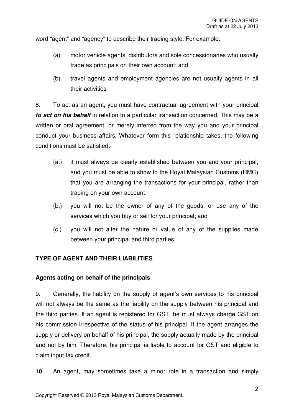word "agent" and "agency" to describe their trading style. For example:-

- (a) motor vehicle agents, distributors and sole concessionaries who usually trade as principals on their own account; and
- (b) travel agents and employment agencies are not usually agents in all their activities

8. To act as an agent, you must have contractual agreement with your principal *to act on his behalf* in relation to a particular transaction concerned. This may be a written or oral agreement, or merely inferred from the way you and your principal conduct your business affairs. Whatever form this relationship takes, the following conditions must be satisfied:-

- (a.) it must always be clearly established between you and your principal, and you must be able to show to the Royal Malaysian Customs (RMC) that you are arranging the transactions for your principal, rather than trading on your own account;
- (b.) you will not be the owner of any of the goods, or use any of the services which you buy or sell for your principal; and
- (c.) you will not alter the nature or value of any of the supplies made between your principal and third parties.

## **TYPE OF AGENT AND THEIR LIABILITIES**

#### **Agents acting on behalf of the principals**

9. Generally, the liability on the supply of agent's own services to his principal will not always be the same as the liability on the supply between his principal and the third parties. If an agent is registered for GST, he must always charge GST on his commission irrespective of the status of his principal. If the agent arranges the supply or delivery on behalf of his principal, the supply actually made by the principal and not by him. Therefore, his principal is liable to account for GST and eligible to claim input tax credit.

10. An agent, may sometimes take a minor role in a transaction and simply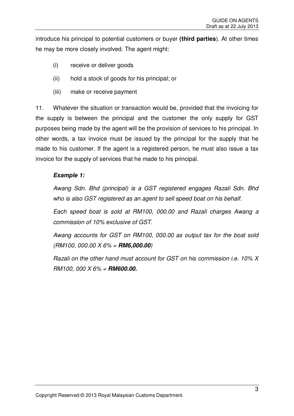introduce his principal to potential customers or buyer **(third parties**). At other times he may be more closely involved. The agent might:

- (i) receive or deliver goods
- (ii) hold a stock of goods for his principal; or
- (iii) make or receive payment

11. Whatever the situation or transaction would be, provided that the invoicing for the supply is between the principal and the customer the only supply for GST purposes being made by the agent will be the provision of services to his principal. In other words, a tax invoice must be issued by the principal for the supply that he made to his customer. If the agent is a registered person, he must also issue a tax invoice for the supply of services that he made to his principal.

#### *Example 1:*

Awang Sdn. Bhd (principal) is a GST registered engages Razali Sdn. Bhd who is also GST registered as an agent to sell speed boat on his behalf.

Each speed boat is sold at RM100, 000.00 and Razali charges Awang a commission of 10% exclusive of GST.

Awang accounts for GST on RM100, 000.00 as output tax for the boat sold (RM100, 000.00 X 6% = *RM6,000.00*)

Razali on the other hand must account for GST on his commission i.e. 10% X RM100, 000 X 6% = *RM600.00.*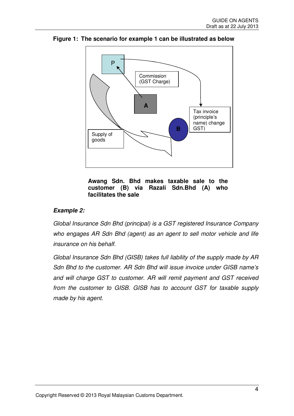

**Figure 1: The scenario for example 1 can be illustrated as below** 



#### *Example 2:*

Global Insurance Sdn Bhd (principal) is a GST registered Insurance Company who engages AR Sdn Bhd (agent) as an agent to sell motor vehicle and life insurance on his behalf.

Global Insurance Sdn Bhd (GISB) takes full liability of the supply made by AR Sdn Bhd to the customer. AR Sdn Bhd will issue invoice under GISB name's and will charge GST to customer. AR will remit payment and GST received from the customer to GISB. GISB has to account GST for taxable supply made by his agent.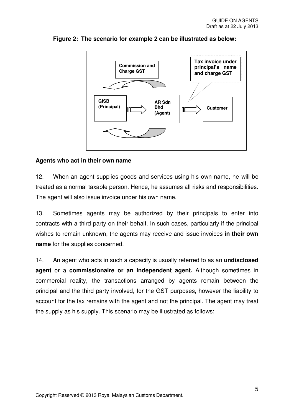

**Figure 2: The scenario for example 2 can be illustrated as below:** 

#### **Agents who act in their own name**

12. When an agent supplies goods and services using his own name, he will be treated as a normal taxable person. Hence, he assumes all risks and responsibilities. The agent will also issue invoice under his own name.

13. Sometimes agents may be authorized by their principals to enter into contracts with a third party on their behalf. In such cases, particularly if the principal wishes to remain unknown, the agents may receive and issue invoices **in their own name** for the supplies concerned.

14. An agent who acts in such a capacity is usually referred to as an **undisclosed agent** or a **commissionaire or an independent agent.** Although sometimes in commercial reality, the transactions arranged by agents remain between the principal and the third party involved, for the GST purposes, however the liability to account for the tax remains with the agent and not the principal. The agent may treat the supply as his supply. This scenario may be illustrated as follows: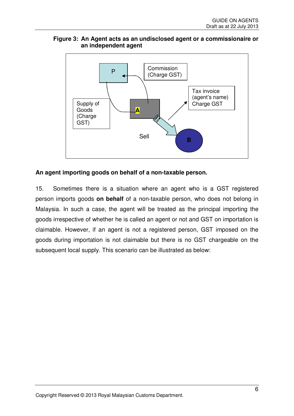#### **Figure 3: An Agent acts as an undisclosed agent or a commissionaire or an independent agent**



#### **An agent importing goods on behalf of a non-taxable person.**

15. Sometimes there is a situation where an agent who is a GST registered person imports goods **on behalf** of a non-taxable person, who does not belong in Malaysia. In such a case, the agent will be treated as the principal importing the goods irrespective of whether he is called an agent or not and GST on importation is claimable. However, if an agent is not a registered person, GST imposed on the goods during importation is not claimable but there is no GST chargeable on the subsequent local supply. This scenario can be illustrated as below: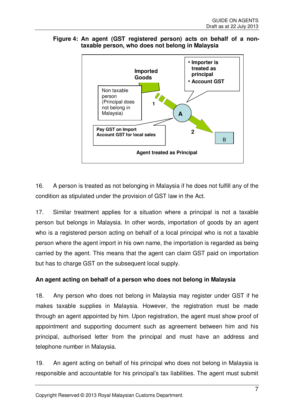



16. A person is treated as not belonging in Malaysia if he does not fulfill any of the condition as stipulated under the provision of GST law in the Act.

17. Similar treatment applies for a situation where a principal is not a taxable person but belongs in Malaysia. In other words, importation of goods by an agent who is a registered person acting on behalf of a local principal who is not a taxable person where the agent import in his own name, the importation is regarded as being carried by the agent. This means that the agent can claim GST paid on importation but has to charge GST on the subsequent local supply.

## **An agent acting on behalf of a person who does not belong in Malaysia**

18. Any person who does not belong in Malaysia may register under GST if he makes taxable supplies in Malaysia. However, the registration must be made through an agent appointed by him. Upon registration, the agent must show proof of appointment and supporting document such as agreement between him and his principal, authorised letter from the principal and must have an address and telephone number in Malaysia.

19. An agent acting on behalf of his principal who does not belong in Malaysia is responsible and accountable for his principal's tax liabilities. The agent must submit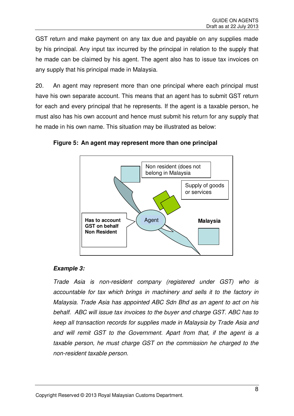GST return and make payment on any tax due and payable on any supplies made by his principal. Any input tax incurred by the principal in relation to the supply that he made can be claimed by his agent. The agent also has to issue tax invoices on any supply that his principal made in Malaysia.

20. An agent may represent more than one principal where each principal must have his own separate account. This means that an agent has to submit GST return for each and every principal that he represents. If the agent is a taxable person, he must also has his own account and hence must submit his return for any supply that he made in his own name. This situation may be illustrated as below:



**Figure 5: An agent may represent more than one principal** 

#### *Example 3:*

Trade Asia is non-resident company (registered under GST) who is accountable for tax which brings in machinery and sells it to the factory in Malaysia. Trade Asia has appointed ABC Sdn Bhd as an agent to act on his behalf. ABC will issue tax invoices to the buyer and charge GST. ABC has to keep all transaction records for supplies made in Malaysia by Trade Asia and and will remit GST to the Government. Apart from that, if the agent is a taxable person, he must charge GST on the commission he charged to the non-resident taxable person.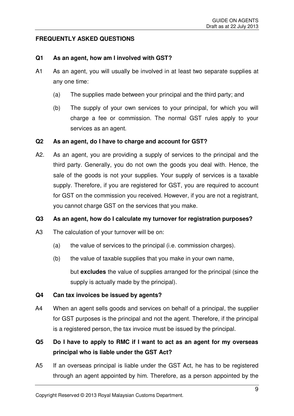#### **FREQUENTLY ASKED QUESTIONS**

#### **Q1 As an agent, how am I involved with GST?**

- A1 As an agent, you will usually be involved in at least two separate supplies at any one time:
	- (a) The supplies made between your principal and the third party; and
	- (b) The supply of your own services to your principal, for which you will charge a fee or commission. The normal GST rules apply to your services as an agent.

#### **Q2 As an agent, do I have to charge and account for GST?**

A2. As an agent, you are providing a supply of services to the principal and the third party. Generally, you do not own the goods you deal with. Hence, the sale of the goods is not your supplies. Your supply of services is a taxable supply. Therefore, if you are registered for GST, you are required to account for GST on the commission you received. However, if you are not a registrant, you cannot charge GST on the services that you make.

#### **Q3 As an agent, how do I calculate my turnover for registration purposes?**

- A3 The calculation of your turnover will be on:
	- (a) the value of services to the principal (i.e. commission charges).
	- (b) the value of taxable supplies that you make in your own name,

but **excludes** the value of supplies arranged for the principal (since the supply is actually made by the principal).

#### **Q4 Can tax invoices be issued by agents?**

A4 When an agent sells goods and services on behalf of a principal, the supplier for GST purposes is the principal and not the agent. Therefore, if the principal is a registered person, the tax invoice must be issued by the principal.

## **Q5 Do I have to apply to RMC if I want to act as an agent for my overseas principal who is liable under the GST Act?**

A5 If an overseas principal is liable under the GST Act, he has to be registered through an agent appointed by him. Therefore, as a person appointed by the